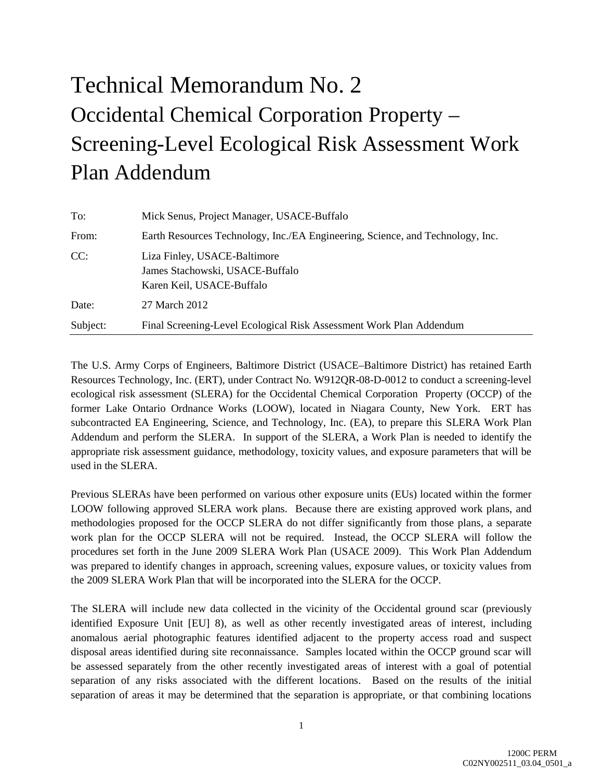## Technical Memorandum No. 2 Occidental Chemical Corporation Property – Screening-Level Ecological Risk Assessment Work Plan Addendum

| To:      | Mick Senus, Project Manager, USACE-Buffalo                                                   |
|----------|----------------------------------------------------------------------------------------------|
| From:    | Earth Resources Technology, Inc./EA Engineering, Science, and Technology, Inc.               |
| CC:      | Liza Finley, USACE-Baltimore<br>James Stachowski, USACE-Buffalo<br>Karen Keil, USACE-Buffalo |
| Date:    | 27 March 2012                                                                                |
| Subject: | Final Screening-Level Ecological Risk Assessment Work Plan Addendum                          |

The U.S. Army Corps of Engineers, Baltimore District (USACE–Baltimore District) has retained Earth Resources Technology, Inc. (ERT), under Contract No. W912QR-08-D-0012 to conduct a screening-level ecological risk assessment (SLERA) for the Occidental Chemical Corporation Property (OCCP) of the former Lake Ontario Ordnance Works (LOOW), located in Niagara County, New York. ERT has subcontracted EA Engineering, Science, and Technology, Inc. (EA), to prepare this SLERA Work Plan Addendum and perform the SLERA. In support of the SLERA, a Work Plan is needed to identify the appropriate risk assessment guidance, methodology, toxicity values, and exposure parameters that will be used in the SLERA.

Previous SLERAs have been performed on various other exposure units (EUs) located within the former LOOW following approved SLERA work plans. Because there are existing approved work plans, and methodologies proposed for the OCCP SLERA do not differ significantly from those plans, a separate work plan for the OCCP SLERA will not be required. Instead, the OCCP SLERA will follow the procedures set forth in the June 2009 SLERA Work Plan (USACE 2009). This Work Plan Addendum was prepared to identify changes in approach, screening values, exposure values, or toxicity values from the 2009 SLERA Work Plan that will be incorporated into the SLERA for the OCCP.

The SLERA will include new data collected in the vicinity of the Occidental ground scar (previously identified Exposure Unit [EU] 8), as well as other recently investigated areas of interest, including anomalous aerial photographic features identified adjacent to the property access road and suspect disposal areas identified during site reconnaissance. Samples located within the OCCP ground scar will be assessed separately from the other recently investigated areas of interest with a goal of potential separation of any risks associated with the different locations. Based on the results of the initial separation of areas it may be determined that the separation is appropriate, or that combining locations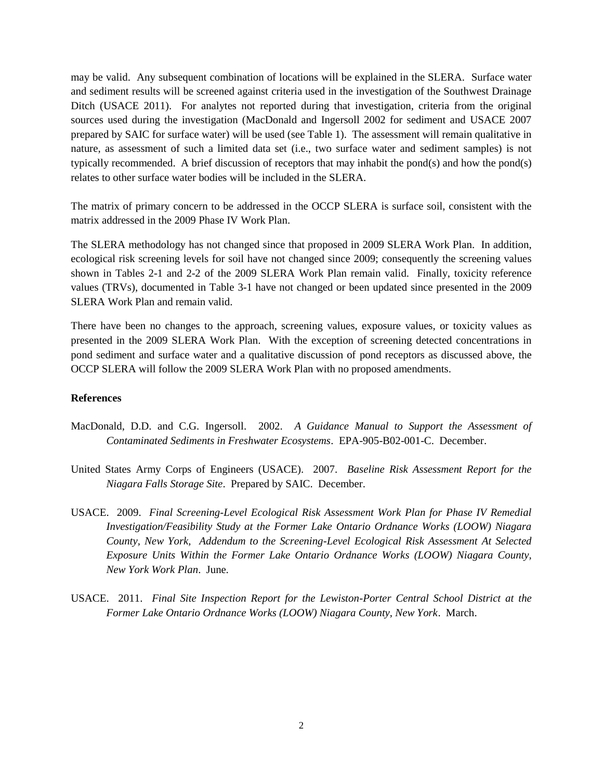may be valid. Any subsequent combination of locations will be explained in the SLERA. Surface water and sediment results will be screened against criteria used in the investigation of the Southwest Drainage Ditch (USACE 2011). For analytes not reported during that investigation, criteria from the original sources used during the investigation (MacDonald and Ingersoll 2002 for sediment and USACE 2007 prepared by SAIC for surface water) will be used (see Table 1). The assessment will remain qualitative in nature, as assessment of such a limited data set (i.e., two surface water and sediment samples) is not typically recommended. A brief discussion of receptors that may inhabit the pond(s) and how the pond(s) relates to other surface water bodies will be included in the SLERA.

The matrix of primary concern to be addressed in the OCCP SLERA is surface soil, consistent with the matrix addressed in the 2009 Phase IV Work Plan.

The SLERA methodology has not changed since that proposed in 2009 SLERA Work Plan. In addition, ecological risk screening levels for soil have not changed since 2009; consequently the screening values shown in Tables 2-1 and 2-2 of the 2009 SLERA Work Plan remain valid. Finally, toxicity reference values (TRVs), documented in Table 3-1 have not changed or been updated since presented in the 2009 SLERA Work Plan and remain valid.

There have been no changes to the approach, screening values, exposure values, or toxicity values as presented in the 2009 SLERA Work Plan. With the exception of screening detected concentrations in pond sediment and surface water and a qualitative discussion of pond receptors as discussed above, the OCCP SLERA will follow the 2009 SLERA Work Plan with no proposed amendments.

## **References**

- MacDonald, D.D. and C.G. Ingersoll. 2002. *A Guidance Manual to Support the Assessment of Contaminated Sediments in Freshwater Ecosystems*. EPA-905-B02-001-C. December.
- United States Army Corps of Engineers (USACE). 2007. *Baseline Risk Assessment Report for the Niagara Falls Storage Site*. Prepared by SAIC. December.
- USACE. 2009. *Final Screening-Level Ecological Risk Assessment Work Plan for Phase IV Remedial Investigation/Feasibility Study at the Former Lake Ontario Ordnance Works (LOOW) Niagara County, New York, Addendum to the Screening-Level Ecological Risk Assessment At Selected Exposure Units Within the Former Lake Ontario Ordnance Works (LOOW) Niagara County, New York Work Plan*. June.
- USACE. 2011. *Final Site Inspection Report for the Lewiston-Porter Central School District at the Former Lake Ontario Ordnance Works (LOOW) Niagara County, New York*. March.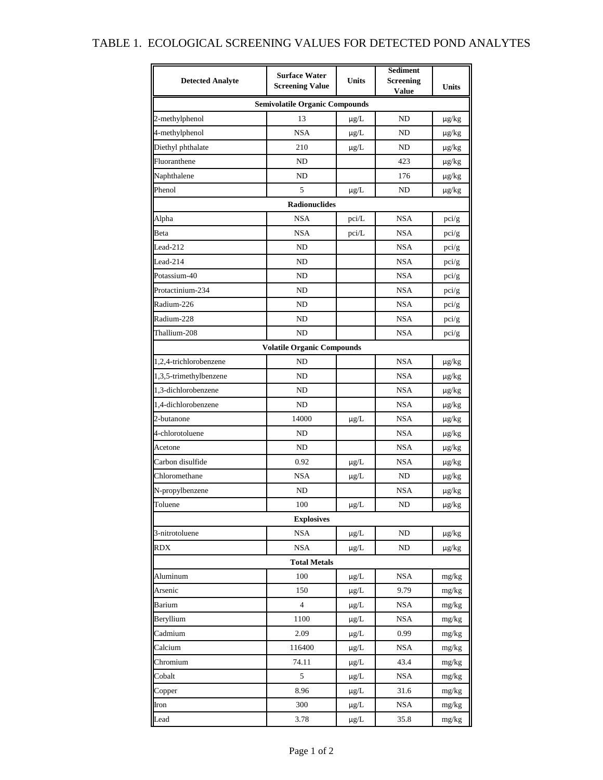## TABLE 1. ECOLOGICAL SCREENING VALUES FOR DETECTED POND ANALYTES

| <b>Detected Analyte</b>               | <b>Surface Water</b><br><b>Screening Value</b> | Units     | <b>Sediment</b><br><b>Screening</b> | <b>Units</b>  |  |  |  |  |  |  |
|---------------------------------------|------------------------------------------------|-----------|-------------------------------------|---------------|--|--|--|--|--|--|
|                                       |                                                |           | Value                               |               |  |  |  |  |  |  |
| <b>Semivolatile Organic Compounds</b> |                                                |           |                                     |               |  |  |  |  |  |  |
| 2-methylphenol                        | 13                                             | $\mu$ g/L | ND                                  | $\mu$ g/ $kg$ |  |  |  |  |  |  |
| 4-methylphenol                        | <b>NSA</b>                                     | $\mu$ g/L | ND                                  | $\mu$ g/kg    |  |  |  |  |  |  |
| Diethyl phthalate                     | 210                                            | $\mu$ g/L | ND                                  | $\mu$ g/kg    |  |  |  |  |  |  |
| Fluoranthene                          | ND                                             |           | 423                                 | $\mu$ g/ $kg$ |  |  |  |  |  |  |
| Naphthalene                           | N <sub>D</sub>                                 |           | 176                                 | $\mu$ g/ $kg$ |  |  |  |  |  |  |
| Phenol                                | 5                                              | $\mu$ g/L | ND                                  | $\mu$ g/ $kg$ |  |  |  |  |  |  |
|                                       | <b>Radionuclides</b>                           |           |                                     |               |  |  |  |  |  |  |
| Alpha                                 | <b>NSA</b>                                     | pci/L     | <b>NSA</b>                          | pci/g         |  |  |  |  |  |  |
| Beta                                  | <b>NSA</b>                                     | pci/L     | <b>NSA</b>                          | pci/g         |  |  |  |  |  |  |
| Lead-212                              | ND                                             |           | <b>NSA</b>                          | pci/g         |  |  |  |  |  |  |
| Lead-214                              | ND                                             |           | NSA                                 | pci/g         |  |  |  |  |  |  |
| Potassium-40                          | ND                                             |           | NSA                                 | pci/g         |  |  |  |  |  |  |
| Protactinium-234                      | ND                                             |           | <b>NSA</b>                          | pci/g         |  |  |  |  |  |  |
| Radium-226                            | ND                                             |           | <b>NSA</b>                          | pci/g         |  |  |  |  |  |  |
| Radium-228                            | ND                                             |           | <b>NSA</b>                          | pci/g         |  |  |  |  |  |  |
| Thallium-208                          | ND                                             |           | <b>NSA</b>                          | pci/g         |  |  |  |  |  |  |
|                                       | <b>Volatile Organic Compounds</b>              |           |                                     |               |  |  |  |  |  |  |
| 1,2,4-trichlorobenzene                | ND                                             |           | <b>NSA</b>                          | $\mu$ g/kg    |  |  |  |  |  |  |
| 1,3,5-trimethylbenzene                | ND                                             |           | <b>NSA</b>                          | $\mu$ g/kg    |  |  |  |  |  |  |
| 1,3-dichlorobenzene                   | ND                                             |           | <b>NSA</b>                          | $\mu$ g/ $kg$ |  |  |  |  |  |  |
| 1,4-dichlorobenzene                   | ND                                             |           | <b>NSA</b>                          | $\mu g/kg$    |  |  |  |  |  |  |
| 2-butanone                            | 14000                                          | $\mu$ g/L | <b>NSA</b>                          | $\mu$ g/kg    |  |  |  |  |  |  |
| 4-chlorotoluene                       | ND                                             |           | <b>NSA</b>                          | $\mu$ g/ $kg$ |  |  |  |  |  |  |
| Acetone                               | ND                                             |           | NSA                                 | $\mu$ g/ $kg$ |  |  |  |  |  |  |
| Carbon disulfide                      | 0.92                                           | $\mu$ g/L | NSA                                 | $\mu$ g/kg    |  |  |  |  |  |  |
| Chloromethane                         | <b>NSA</b>                                     | $\mu$ g/L | ND                                  | $\mu$ g/kg    |  |  |  |  |  |  |
| N-propylbenzene                       | ND                                             |           | <b>NSA</b>                          | $\mu$ g/kg    |  |  |  |  |  |  |
| Toluene                               | 100                                            | $\mu g/L$ | ND                                  | $\mu g/kg$    |  |  |  |  |  |  |
|                                       | <b>Explosives</b>                              |           |                                     |               |  |  |  |  |  |  |
| 3-nitrotoluene                        | <b>NSA</b>                                     | $\mu$ g/L | ND                                  | $\mu$ g/kg    |  |  |  |  |  |  |
| <b>RDX</b>                            | NSA                                            | $\mu$ g/L | ND                                  | $\mu$ g/kg    |  |  |  |  |  |  |
|                                       | <b>Total Metals</b>                            |           |                                     |               |  |  |  |  |  |  |
| Aluminum                              | 100                                            | $\mu$ g/L | <b>NSA</b>                          | mg/kg         |  |  |  |  |  |  |
| Arsenic                               | 150                                            | $\mu$ g/L | 9.79                                | mg/kg         |  |  |  |  |  |  |
| Barium                                | $\overline{4}$                                 | $\mu$ g/L | <b>NSA</b>                          | mg/kg         |  |  |  |  |  |  |
| Beryllium                             | 1100                                           | $\mu$ g/L | <b>NSA</b>                          | mg/kg         |  |  |  |  |  |  |
| Cadmium                               | 2.09                                           | $\mu$ g/L | 0.99                                | mg/kg         |  |  |  |  |  |  |
| Calcium                               | 116400                                         | $\mu$ g/L | <b>NSA</b>                          | mg/kg         |  |  |  |  |  |  |
| Chromium                              | 74.11                                          | $\mu$ g/L | 43.4                                | mg/kg         |  |  |  |  |  |  |
| Cobalt                                | 5                                              | $\mu$ g/L | <b>NSA</b>                          | mg/kg         |  |  |  |  |  |  |
| Copper                                | 8.96                                           | $\mu$ g/L | 31.6                                | mg/kg         |  |  |  |  |  |  |
| Iron                                  | 300                                            | $\mu$ g/L | <b>NSA</b>                          | mg/kg         |  |  |  |  |  |  |
| Lead                                  | 3.78                                           | $\mu$ g/L | 35.8                                | mg/kg         |  |  |  |  |  |  |